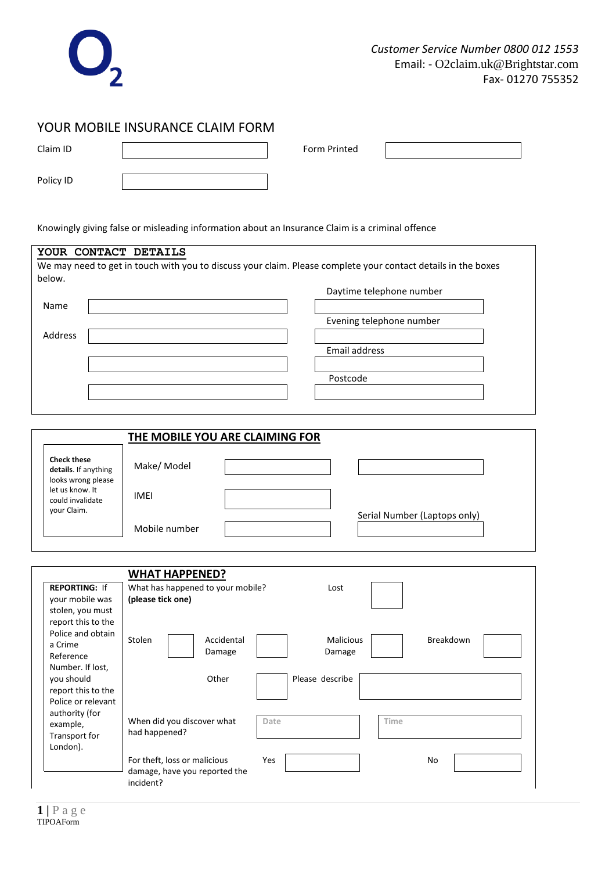

## YOUR MOBILE INSURANCE CLAIM FORM

| Claim ID  | Form Printed |  |
|-----------|--------------|--|
| Policy ID |              |  |

Knowingly giving false or misleading information about an Insurance Claim is a criminal offence

| YOUR CONTACT DETAILS                    |                                                                                                               |  |  |
|-----------------------------------------|---------------------------------------------------------------------------------------------------------------|--|--|
|                                         | We may need to get in touch with you to discuss your claim. Please complete your contact details in the boxes |  |  |
| below.                                  |                                                                                                               |  |  |
|                                         | Daytime telephone number                                                                                      |  |  |
| Name                                    |                                                                                                               |  |  |
|                                         | Evening telephone number                                                                                      |  |  |
| Address                                 |                                                                                                               |  |  |
|                                         | Email address                                                                                                 |  |  |
|                                         |                                                                                                               |  |  |
|                                         | Postcode                                                                                                      |  |  |
|                                         |                                                                                                               |  |  |
|                                         |                                                                                                               |  |  |
|                                         |                                                                                                               |  |  |
|                                         |                                                                                                               |  |  |
|                                         | <b>THE MOBILE YOU ARE CLAIMING FOR</b>                                                                        |  |  |
| <b>Check these</b>                      |                                                                                                               |  |  |
| details. If anything                    | Make/ Model                                                                                                   |  |  |
| looks wrong please<br>let us know. It   |                                                                                                               |  |  |
| could invalidate                        | <b>IMEI</b>                                                                                                   |  |  |
| your Claim.                             | Serial Number (Laptops only)                                                                                  |  |  |
|                                         | Mobile number                                                                                                 |  |  |
|                                         |                                                                                                               |  |  |
|                                         |                                                                                                               |  |  |
|                                         |                                                                                                               |  |  |
|                                         | <b>WHAT HAPPENED?</b>                                                                                         |  |  |
| <b>REPORTING: If</b><br>your mobile was | What has happened to your mobile?<br>Lost<br>(please tick one)                                                |  |  |
| stolen, you must                        |                                                                                                               |  |  |
| report this to the                      |                                                                                                               |  |  |
| Police and obtain                       | Stolen<br>Accidental<br><b>Malicious</b><br>Breakdown                                                         |  |  |
| a Crime                                 | Damage<br>Damage                                                                                              |  |  |
| Reference<br>Number. If lost,           |                                                                                                               |  |  |
| you should                              | Please describe<br>Other                                                                                      |  |  |
| report this to the                      |                                                                                                               |  |  |
| Police or relevant                      |                                                                                                               |  |  |
| authority (for                          | Time<br>When did you discover what<br>Date                                                                    |  |  |
| example,<br>Transport for               | had happened?                                                                                                 |  |  |
| London).                                |                                                                                                               |  |  |
|                                         | For theft, loss or malicious<br>Yes<br>No                                                                     |  |  |
|                                         | damage, have you reported the                                                                                 |  |  |
|                                         | incident?                                                                                                     |  |  |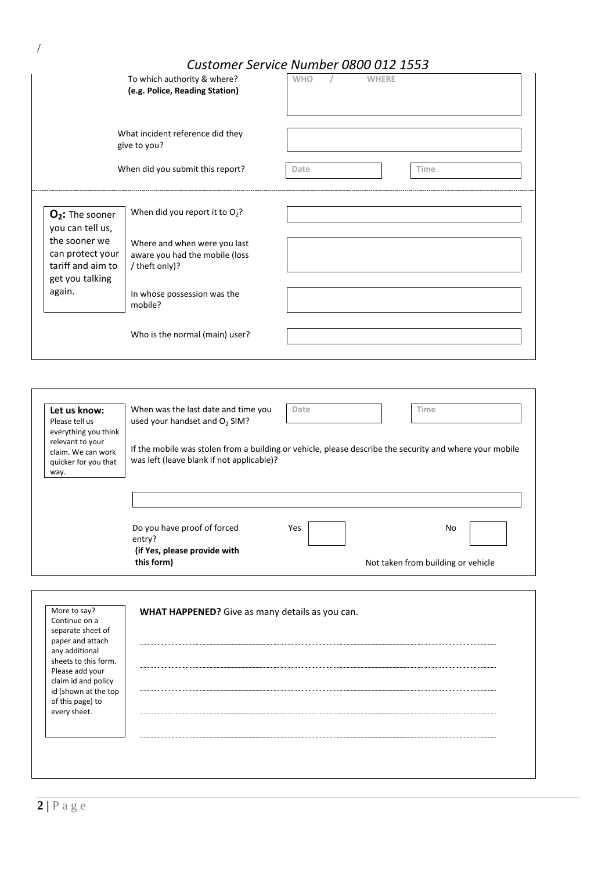# *Customer Service Number 0800 012 1553*

|                                                                           | To which authority & where?<br>(e.g. Police, Reading Station)                                                                                        | <b>WHO</b> | <b>WHERE</b> |             |  |
|---------------------------------------------------------------------------|------------------------------------------------------------------------------------------------------------------------------------------------------|------------|--------------|-------------|--|
|                                                                           | What incident reference did they<br>give to you?                                                                                                     |            |              |             |  |
|                                                                           | When did you submit this report?                                                                                                                     | Date       |              | <b>Time</b> |  |
| O <sub>2</sub> : The sooner<br>you can tell us,                           | When did you report it to $O_2$ ?                                                                                                                    |            |              |             |  |
| the sooner we<br>can protect your<br>tariff and aim to<br>get you talking | Where and when were you last<br>aware you had the mobile (loss<br>/ theft only)?                                                                     |            |              |             |  |
| again.                                                                    | In whose possession was the<br>mobile?                                                                                                               |            |              |             |  |
|                                                                           | Who is the normal (main) user?                                                                                                                       |            |              |             |  |
|                                                                           |                                                                                                                                                      |            |              |             |  |
| Let us know:<br>Please tell us<br>everything you think                    | When was the last date and time you<br>used your handset and O <sub>2</sub> SIM?                                                                     | Date       |              | Time        |  |
| relevant to your<br>claim. We can work<br>quicker for you that<br>way.    | If the mobile was stolen from a building or vehicle, please describe the security and where your mobile<br>was left (leave blank if not applicable)? |            |              |             |  |
|                                                                           |                                                                                                                                                      |            |              |             |  |
|                                                                           | Do you have proof of forced<br>entry?                                                                                                                | Yes        |              | No          |  |

Not taken from building or vehicle

| More to say?                           | WHAT HAPPENED? Give as many details as you can. |
|----------------------------------------|-------------------------------------------------|
| Continue on a                          |                                                 |
| separate sheet of                      |                                                 |
| paper and attach                       |                                                 |
| any additional                         |                                                 |
| sheets to this form.                   |                                                 |
| Please add your<br>claim id and policy |                                                 |
| id (shown at the top                   |                                                 |
| of this page) to                       |                                                 |
| every sheet.                           |                                                 |
|                                        |                                                 |
|                                        |                                                 |
|                                        |                                                 |
|                                        |                                                 |
|                                        |                                                 |

**(if Yes, please provide with** 

**this form)**

/